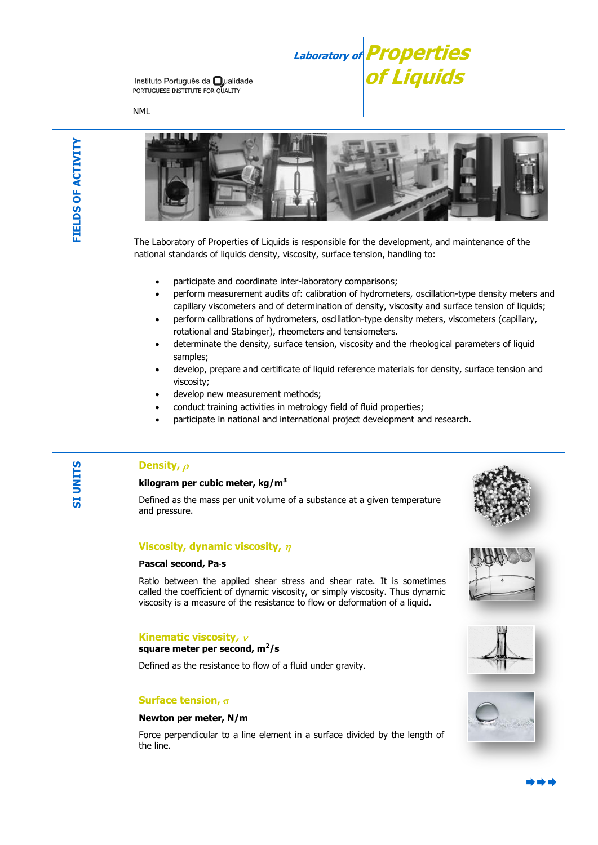**Laboratory of Properties of Liquids**

Instituto Português da **O**ualidade PORTUGUESE INSTITUTE FOR OUALITY

NML



The Laboratory of Properties of Liquids is responsible for the development, and maintenance of the national standards of liquids density, viscosity, surface tension, handling to:

- participate and coordinate inter-laboratory comparisons;
- perform measurement audits of: calibration of hydrometers, oscillation-type density meters and capillary viscometers and of determination of density, viscosity and surface tension of liquids;
- perform calibrations of hydrometers, oscillation-type density meters, viscometers (capillary, rotational and Stabinger), rheometers and tensiometers.
- determinate the density, surface tension, viscosity and the rheological parameters of liquid samples;
- develop, prepare and certificate of liquid reference materials for density, surface tension and viscosity;
- develop new measurement methods;
- conduct training activities in metrology field of fluid properties;
- participate in national and international project development and research.

# **Density,**

## **kilogram per cubic meter, kg/m<sup>3</sup>**

Defined as the mass per unit volume of a substance at a given temperature and pressure.

## **Viscosity, dynamic viscosity,**

#### **Pascal second, Pas**

Ratio between the applied shear stress and shear rate. It is sometimes called the coefficient of dynamic viscosity, or simply viscosity. Thus dynamic viscosity is a measure of the resistance to flow or deformation of a liquid.

#### **Kinematic viscosity,**

## **square meter per second, m<sup>2</sup> /s**

Defined as the resistance to flow of a fluid under gravity.

## **Surface tension,**

## **Newton per meter, N/m**

Force perpendicular to a line element in a surface divided by the length of the line.